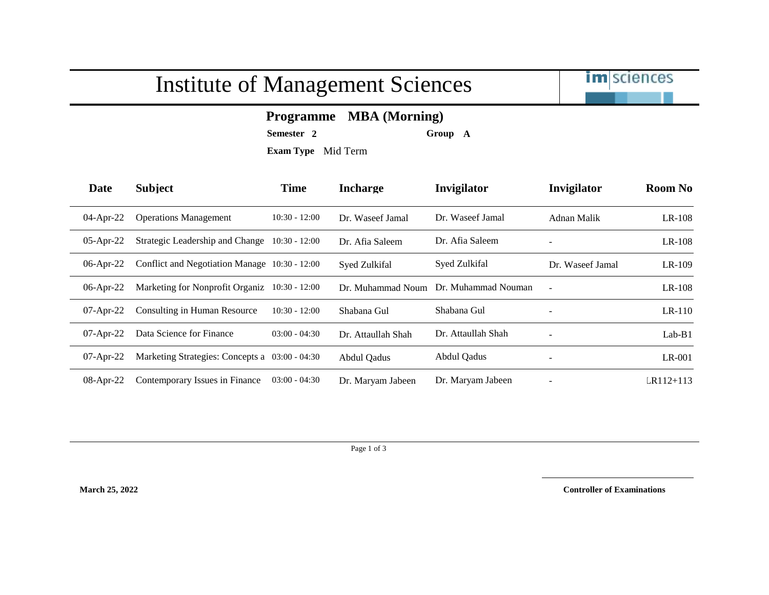## Institute of Management Sciences



## **Programme MBA (Morning)**

**Semester 2 Group A**

**Exam Type** Mid Term

| Date         | <b>Subject</b>                                 | <b>Time</b>     | <b>Incharge</b>    | Invigilator         | Invigilator              | <b>Room No</b> |
|--------------|------------------------------------------------|-----------------|--------------------|---------------------|--------------------------|----------------|
| $04$ -Apr-22 | <b>Operations Management</b>                   | $10:30 - 12:00$ | Dr. Waseef Jamal   | Dr. Waseef Jamal    | Adnan Malik              | $LR-108$       |
| $05$ -Apr-22 | Strategic Leadership and Change                | $10:30 - 12:00$ | Dr. Afia Saleem    | Dr. Afia Saleem     |                          | $LR-108$       |
| $06$ -Apr-22 | Conflict and Negotiation Manage 10:30 - 12:00  |                 | Syed Zulkifal      | Syed Zulkifal       | Dr. Waseef Jamal         | $LR-109$       |
| $06$ -Apr-22 | Marketing for Nonprofit Organiz 10:30 - 12:00  |                 | Dr. Muhammad Noum  | Dr. Muhammad Nouman | $\sim$                   | LR-108         |
| $07$ -Apr-22 | Consulting in Human Resource                   | $10:30 - 12:00$ | Shabana Gul        | Shabana Gul         | $\overline{\phantom{a}}$ | $LR-110$       |
| $07$ -Apr-22 | Data Science for Finance                       | $03:00 - 04:30$ | Dr. Attaullah Shah | Dr. Attaullah Shah  | $\overline{\phantom{a}}$ | $Lab-B1$       |
| $07$ -Apr-22 | Marketing Strategies: Concepts a 03:00 - 04:30 |                 | Abdul Qadus        | Abdul Oadus         | $\overline{\phantom{a}}$ | $LR-001$       |
| 08-Apr-22    | Contemporary Issues in Finance                 | $03:00 - 04:30$ | Dr. Maryam Jabeen  | Dr. Maryam Jabeen   |                          | $LR112 + 113$  |

Page 1 of 3

**March 25, 2022 Controller of Examinations**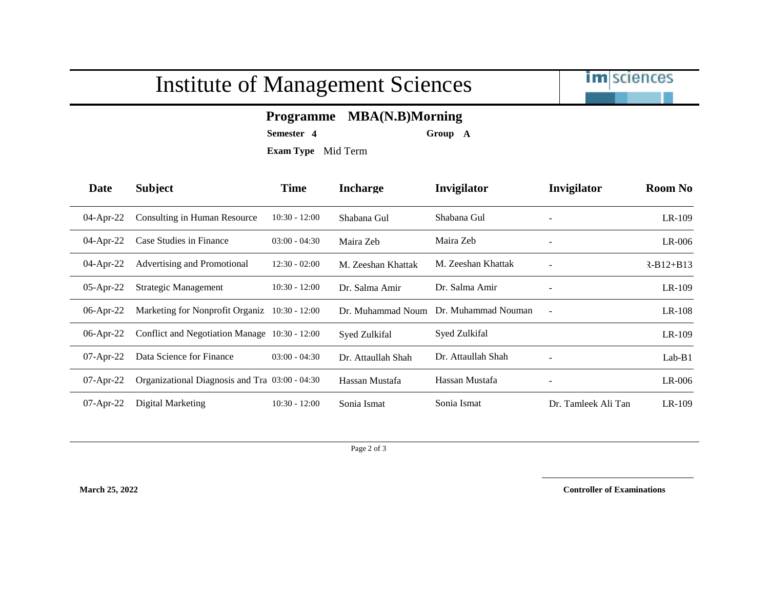## Institute of Management Sciences



## **Programme MBA(N.B)Morning**

**Semester 4 Group A**

**Exam Type** Mid Term

| Date         | <b>Subject</b>                                 | <b>Time</b>     | <b>Incharge</b>    | Invigilator         | Invigilator              | <b>Room No</b> |
|--------------|------------------------------------------------|-----------------|--------------------|---------------------|--------------------------|----------------|
| $04$ -Apr-22 | Consulting in Human Resource                   | $10:30 - 12:00$ | Shabana Gul        | Shabana Gul         |                          | LR-109         |
| $04$ -Apr-22 | Case Studies in Finance                        | $03:00 - 04:30$ | Maira Zeb          | Maira Zeb           | -                        | $LR-006$       |
| $04$ -Apr-22 | Advertising and Promotional                    | $12:30 - 02:00$ | M. Zeeshan Khattak | M. Zeeshan Khattak  |                          | $R-B12+B13$    |
| $05$ -Apr-22 | Strategic Management                           | $10:30 - 12:00$ | Dr. Salma Amir     | Dr. Salma Amir      |                          | $LR-109$       |
| $06$ -Apr-22 | Marketing for Nonprofit Organiz 10:30 - 12:00  |                 | Dr. Muhammad Noum  | Dr. Muhammad Nouman | $\overline{\phantom{a}}$ | $LR-108$       |
| $06$ -Apr-22 | Conflict and Negotiation Manage 10:30 - 12:00  |                 | Syed Zulkifal      | Syed Zulkifal       |                          | $LR-109$       |
| $07$ -Apr-22 | Data Science for Finance                       | $03:00 - 04:30$ | Dr. Attaullah Shah | Dr. Attaullah Shah  | $\overline{\phantom{a}}$ | $Lab-B1$       |
| $07$ -Apr-22 | Organizational Diagnosis and Tra 03:00 - 04:30 |                 | Hassan Mustafa     | Hassan Mustafa      |                          | $LR-006$       |
| $07$ -Apr-22 | Digital Marketing                              | $10:30 - 12:00$ | Sonia Ismat        | Sonia Ismat         | Dr. Tamleek Ali Tan      | $LR-109$       |

Page 2 of 3

**March 25, 2022 Controller of Examinations**